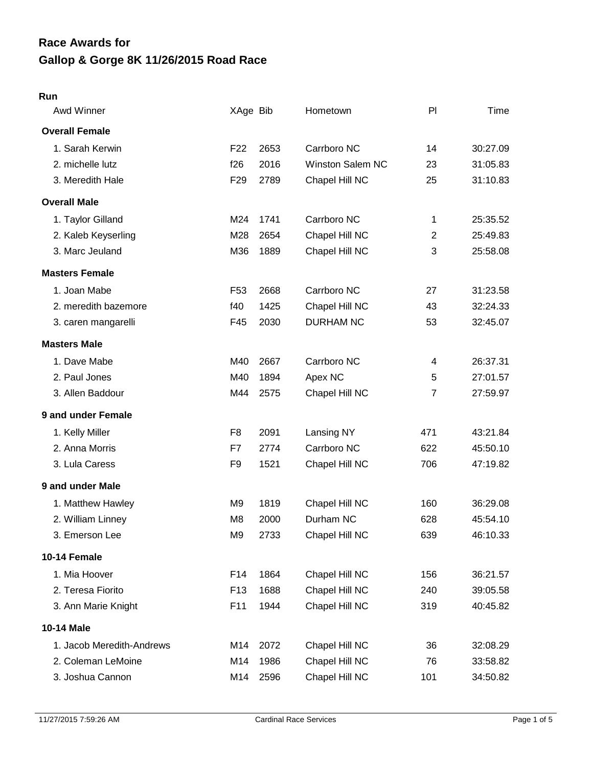# **Gallop & Gorge 8K 11/26/2015 Road Race Race Awards for**

#### **Run**

| Awd Winner                | XAge Bib        |      | Hometown                | PI             | Time     |
|---------------------------|-----------------|------|-------------------------|----------------|----------|
| <b>Overall Female</b>     |                 |      |                         |                |          |
| 1. Sarah Kerwin           | F <sub>22</sub> | 2653 | Carrboro NC             | 14             | 30:27.09 |
| 2. michelle lutz          | f26             | 2016 | <b>Winston Salem NC</b> | 23             | 31:05.83 |
| 3. Meredith Hale          | F <sub>29</sub> | 2789 | Chapel Hill NC          | 25             | 31:10.83 |
| <b>Overall Male</b>       |                 |      |                         |                |          |
| 1. Taylor Gilland         | M24             | 1741 | Carrboro NC             | 1              | 25:35.52 |
| 2. Kaleb Keyserling       | M28             | 2654 | Chapel Hill NC          | $\overline{2}$ | 25:49.83 |
| 3. Marc Jeuland           | M36             | 1889 | Chapel Hill NC          | 3              | 25:58.08 |
| <b>Masters Female</b>     |                 |      |                         |                |          |
| 1. Joan Mabe              | F <sub>53</sub> | 2668 | Carrboro NC             | 27             | 31:23.58 |
| 2. meredith bazemore      | f40             | 1425 | Chapel Hill NC          | 43             | 32:24.33 |
| 3. caren mangarelli       | F45             | 2030 | <b>DURHAM NC</b>        | 53             | 32:45.07 |
| <b>Masters Male</b>       |                 |      |                         |                |          |
| 1. Dave Mabe              | M40             | 2667 | Carrboro NC             | 4              | 26:37.31 |
| 2. Paul Jones             | M40             | 1894 | Apex NC                 | 5              | 27:01.57 |
| 3. Allen Baddour          | M44             | 2575 | Chapel Hill NC          | $\overline{7}$ | 27:59.97 |
| 9 and under Female        |                 |      |                         |                |          |
| 1. Kelly Miller           | F <sub>8</sub>  | 2091 | Lansing NY              | 471            | 43:21.84 |
| 2. Anna Morris            | F7              | 2774 | Carrboro NC             | 622            | 45:50.10 |
| 3. Lula Caress            | F <sub>9</sub>  | 1521 | Chapel Hill NC          | 706            | 47:19.82 |
| 9 and under Male          |                 |      |                         |                |          |
| 1. Matthew Hawley         | M <sub>9</sub>  | 1819 | Chapel Hill NC          | 160            | 36:29.08 |
| 2. William Linney         | M <sub>8</sub>  | 2000 | Durham NC               | 628            | 45:54.10 |
| 3. Emerson Lee            | M <sub>9</sub>  | 2733 | Chapel Hill NC          | 639            | 46:10.33 |
| 10-14 Female              |                 |      |                         |                |          |
| 1. Mia Hoover             | F14             | 1864 | Chapel Hill NC          | 156            | 36:21.57 |
| 2. Teresa Fiorito         | F <sub>13</sub> | 1688 | Chapel Hill NC          | 240            | 39:05.58 |
| 3. Ann Marie Knight       | F11             | 1944 | Chapel Hill NC          | 319            | 40:45.82 |
| <b>10-14 Male</b>         |                 |      |                         |                |          |
| 1. Jacob Meredith-Andrews | M14             | 2072 | Chapel Hill NC          | 36             | 32:08.29 |
| 2. Coleman LeMoine        | M14             | 1986 | Chapel Hill NC          | 76             | 33:58.82 |
| 3. Joshua Cannon          | M14             | 2596 | Chapel Hill NC          | 101            | 34:50.82 |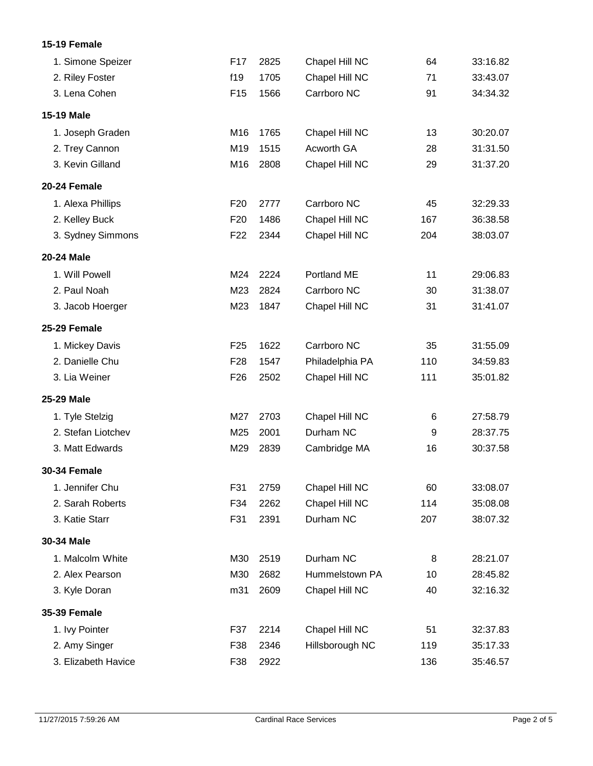### **15-19 Female**

| 1. Simone Speizer   | F17             | 2825 | Chapel Hill NC  | 64  | 33:16.82 |
|---------------------|-----------------|------|-----------------|-----|----------|
| 2. Riley Foster     | f19             | 1705 | Chapel Hill NC  | 71  | 33:43.07 |
| 3. Lena Cohen       | F <sub>15</sub> | 1566 | Carrboro NC     | 91  | 34:34.32 |
| <b>15-19 Male</b>   |                 |      |                 |     |          |
| 1. Joseph Graden    | M16             | 1765 | Chapel Hill NC  | 13  | 30:20.07 |
| 2. Trey Cannon      | M19             | 1515 | Acworth GA      | 28  | 31:31.50 |
| 3. Kevin Gilland    | M16             | 2808 | Chapel Hill NC  | 29  | 31:37.20 |
| 20-24 Female        |                 |      |                 |     |          |
| 1. Alexa Phillips   | F <sub>20</sub> | 2777 | Carrboro NC     | 45  | 32:29.33 |
| 2. Kelley Buck      | F <sub>20</sub> | 1486 | Chapel Hill NC  | 167 | 36:38.58 |
| 3. Sydney Simmons   | F <sub>22</sub> | 2344 | Chapel Hill NC  | 204 | 38:03.07 |
| <b>20-24 Male</b>   |                 |      |                 |     |          |
| 1. Will Powell      | M24             | 2224 | Portland ME     | 11  | 29:06.83 |
| 2. Paul Noah        | M23             | 2824 | Carrboro NC     | 30  | 31:38.07 |
| 3. Jacob Hoerger    | M23             | 1847 | Chapel Hill NC  | 31  | 31:41.07 |
| 25-29 Female        |                 |      |                 |     |          |
| 1. Mickey Davis     | F <sub>25</sub> | 1622 | Carrboro NC     | 35  | 31:55.09 |
| 2. Danielle Chu     | F <sub>28</sub> | 1547 | Philadelphia PA | 110 | 34:59.83 |
| 3. Lia Weiner       | F <sub>26</sub> | 2502 | Chapel Hill NC  | 111 | 35:01.82 |
| 25-29 Male          |                 |      |                 |     |          |
| 1. Tyle Stelzig     | M27             | 2703 | Chapel Hill NC  | 6   | 27:58.79 |
| 2. Stefan Liotchev  | M25             | 2001 | Durham NC       | 9   | 28:37.75 |
| 3. Matt Edwards     | M29             | 2839 | Cambridge MA    | 16  | 30:37.58 |
| <b>30-34 Female</b> |                 |      |                 |     |          |
| 1. Jennifer Chu     | F31             | 2759 | Chapel Hill NC  | 60  | 33:08.07 |
| 2. Sarah Roberts    | F34             | 2262 | Chapel Hill NC  | 114 | 35:08.08 |
| 3. Katie Starr      | F31             | 2391 | Durham NC       | 207 | 38:07.32 |
| 30-34 Male          |                 |      |                 |     |          |
| 1. Malcolm White    | M30             | 2519 | Durham NC       | 8   | 28:21.07 |
| 2. Alex Pearson     | M30             | 2682 | Hummelstown PA  | 10  | 28:45.82 |
| 3. Kyle Doran       | m31             | 2609 | Chapel Hill NC  | 40  | 32:16.32 |
| <b>35-39 Female</b> |                 |      |                 |     |          |
| 1. Ivy Pointer      | F37             | 2214 | Chapel Hill NC  | 51  | 32:37.83 |
| 2. Amy Singer       | F38             | 2346 | Hillsborough NC | 119 | 35:17.33 |
| 3. Elizabeth Havice | F38             | 2922 |                 | 136 | 35:46.57 |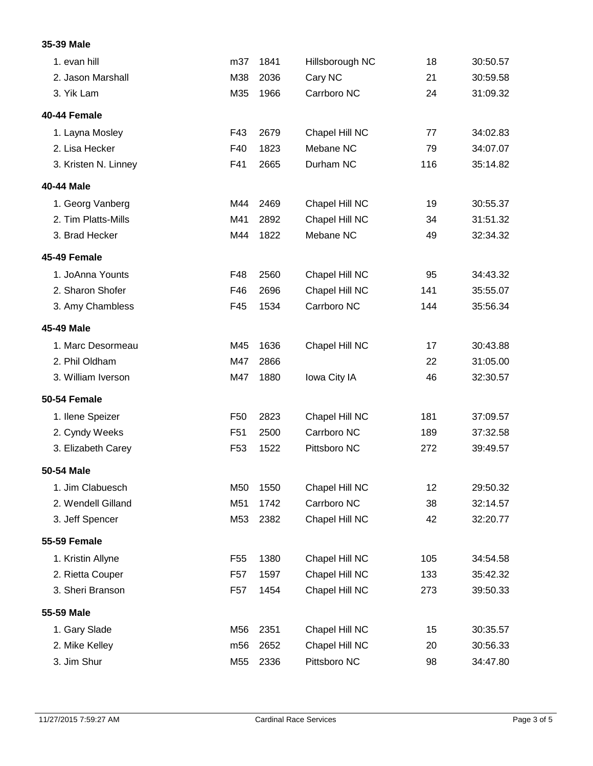#### **35-39 Male**

| 1. evan hill         | m37             | 1841 | Hillsborough NC | 18  | 30:50.57 |
|----------------------|-----------------|------|-----------------|-----|----------|
| 2. Jason Marshall    | M38             | 2036 | Cary NC         | 21  | 30:59.58 |
| 3. Yik Lam           | M35             | 1966 | Carrboro NC     | 24  | 31:09.32 |
| 40-44 Female         |                 |      |                 |     |          |
| 1. Layna Mosley      | F43             | 2679 | Chapel Hill NC  | 77  | 34:02.83 |
| 2. Lisa Hecker       | F40             | 1823 | Mebane NC       | 79  | 34:07.07 |
| 3. Kristen N. Linney | F41             | 2665 | Durham NC       | 116 | 35:14.82 |
| 40-44 Male           |                 |      |                 |     |          |
| 1. Georg Vanberg     | M44             | 2469 | Chapel Hill NC  | 19  | 30:55.37 |
| 2. Tim Platts-Mills  | M41             | 2892 | Chapel Hill NC  | 34  | 31:51.32 |
| 3. Brad Hecker       | M44             | 1822 | Mebane NC       | 49  | 32:34.32 |
| 45-49 Female         |                 |      |                 |     |          |
| 1. JoAnna Younts     | F48             | 2560 | Chapel Hill NC  | 95  | 34:43.32 |
| 2. Sharon Shofer     | F46             | 2696 | Chapel Hill NC  | 141 | 35:55.07 |
| 3. Amy Chambless     | F45             | 1534 | Carrboro NC     | 144 | 35:56.34 |
| 45-49 Male           |                 |      |                 |     |          |
| 1. Marc Desormeau    | M45             | 1636 | Chapel Hill NC  | 17  | 30:43.88 |
| 2. Phil Oldham       | M47             | 2866 |                 | 22  | 31:05.00 |
| 3. William Iverson   | M47             | 1880 | Iowa City IA    | 46  | 32:30.57 |
| 50-54 Female         |                 |      |                 |     |          |
| 1. Ilene Speizer     | F <sub>50</sub> | 2823 | Chapel Hill NC  | 181 | 37:09.57 |
| 2. Cyndy Weeks       | F <sub>51</sub> | 2500 | Carrboro NC     | 189 | 37:32.58 |
| 3. Elizabeth Carey   | F <sub>53</sub> | 1522 | Pittsboro NC    | 272 | 39:49.57 |
| 50-54 Male           |                 |      |                 |     |          |
| 1. Jim Clabuesch     | M50             | 1550 | Chapel Hill NC  | 12  | 29:50.32 |
| 2. Wendell Gilland   | M51             | 1742 | Carrboro NC     | 38  | 32:14.57 |
| 3. Jeff Spencer      | M53             | 2382 | Chapel Hill NC  | 42  | 32:20.77 |
| <b>55-59 Female</b>  |                 |      |                 |     |          |
| 1. Kristin Allyne    | F <sub>55</sub> | 1380 | Chapel Hill NC  | 105 | 34:54.58 |
| 2. Rietta Couper     | F <sub>57</sub> | 1597 | Chapel Hill NC  | 133 | 35:42.32 |
| 3. Sheri Branson     | F <sub>57</sub> | 1454 | Chapel Hill NC  | 273 | 39:50.33 |
| 55-59 Male           |                 |      |                 |     |          |
| 1. Gary Slade        | M56             | 2351 | Chapel Hill NC  | 15  | 30:35.57 |
| 2. Mike Kelley       | m56             | 2652 | Chapel Hill NC  | 20  | 30:56.33 |
| 3. Jim Shur          | M55             | 2336 | Pittsboro NC    | 98  | 34:47.80 |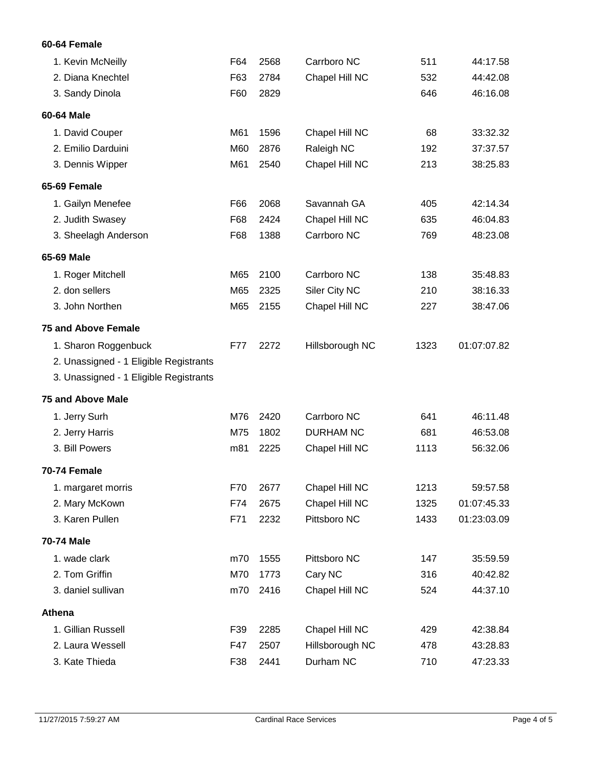### **60-64 Female**

| 1. Kevin McNeilly                      | F64 | 2568 | Carrboro NC      | 511  | 44:17.58    |
|----------------------------------------|-----|------|------------------|------|-------------|
| 2. Diana Knechtel                      | F63 | 2784 | Chapel Hill NC   | 532  | 44:42.08    |
| 3. Sandy Dinola                        | F60 | 2829 |                  | 646  | 46:16.08    |
| 60-64 Male                             |     |      |                  |      |             |
| 1. David Couper                        | M61 | 1596 | Chapel Hill NC   | 68   | 33:32.32    |
| 2. Emilio Darduini                     | M60 | 2876 | Raleigh NC       | 192  | 37:37.57    |
| 3. Dennis Wipper                       | M61 | 2540 | Chapel Hill NC   | 213  | 38:25.83    |
| 65-69 Female                           |     |      |                  |      |             |
| 1. Gailyn Menefee                      | F66 | 2068 | Savannah GA      | 405  | 42:14.34    |
| 2. Judith Swasey                       | F68 | 2424 | Chapel Hill NC   | 635  | 46:04.83    |
| 3. Sheelagh Anderson                   | F68 | 1388 | Carrboro NC      | 769  | 48:23.08    |
| 65-69 Male                             |     |      |                  |      |             |
| 1. Roger Mitchell                      | M65 | 2100 | Carrboro NC      | 138  | 35:48.83    |
| 2. don sellers                         | M65 | 2325 | Siler City NC    | 210  | 38:16.33    |
| 3. John Northen                        | M65 | 2155 | Chapel Hill NC   | 227  | 38:47.06    |
| <b>75 and Above Female</b>             |     |      |                  |      |             |
| 1. Sharon Roggenbuck                   | F77 | 2272 | Hillsborough NC  | 1323 | 01:07:07.82 |
| 2. Unassigned - 1 Eligible Registrants |     |      |                  |      |             |
| 3. Unassigned - 1 Eligible Registrants |     |      |                  |      |             |
| <b>75 and Above Male</b>               |     |      |                  |      |             |
| 1. Jerry Surh                          | M76 | 2420 | Carrboro NC      | 641  | 46:11.48    |
| 2. Jerry Harris                        | M75 | 1802 | <b>DURHAM NC</b> | 681  | 46:53.08    |
| 3. Bill Powers                         | m81 | 2225 | Chapel Hill NC   | 1113 | 56:32.06    |
| 70-74 Female                           |     |      |                  |      |             |
| 1. margaret morris                     | F70 | 2677 | Chapel Hill NC   | 1213 | 59:57.58    |
| 2. Mary McKown                         | F74 | 2675 | Chapel Hill NC   | 1325 | 01:07:45.33 |
| 3. Karen Pullen                        | F71 | 2232 | Pittsboro NC     | 1433 | 01:23:03.09 |
| <b>70-74 Male</b>                      |     |      |                  |      |             |
| 1. wade clark                          | m70 | 1555 | Pittsboro NC     | 147  | 35:59.59    |
| 2. Tom Griffin                         | M70 | 1773 | Cary NC          | 316  | 40:42.82    |
| 3. daniel sullivan                     | m70 | 2416 | Chapel Hill NC   | 524  | 44:37.10    |
| <b>Athena</b>                          |     |      |                  |      |             |
| 1. Gillian Russell                     | F39 | 2285 | Chapel Hill NC   | 429  | 42:38.84    |
| 2. Laura Wessell                       | F47 | 2507 | Hillsborough NC  | 478  | 43:28.83    |
| 3. Kate Thieda                         | F38 | 2441 | Durham NC        | 710  | 47:23.33    |